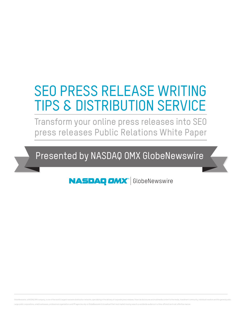# SEO PRESS RELEASE WRITING TIPS & DISTRIBUTION SERVICE

Transform your online press releases into SEO press releases Public Relations White Paper

Presented by NASDAQ OMX GlobeNewswire

**NASDAQ OMX**<sup>'</sup> GlobeNewswire

GlobeNewswire, a NASDAQ OMX company, is one of the world's largest newswire distribution networks, specializing in the delivery of corporate press releases, financial disclosures and multimedia content to the media, invest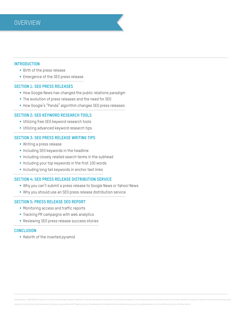# **Introduction**

- Birth of the press release
- Emergence of the SEO press release

# **Section 1: SEO Press Releases**

- How Google News has changed the public relations paradigm
- The evolution of press releases and the need for SEO
- § How Google's "Panda" algorithm changes SEO press releases

# **Section 2: SEO Keyword Research Tools**

- **Utilizing free SEO keyword research tools**
- **Utilizing advanced keyword research tips**

# **Section 3: SEO Press Release Writing Tips**

- § Writing a press release
- **Including SEO keywords in the headline**
- § Including closely related search terms in the subhead
- Including your top keywords in the first 100 words
- **Including long tail keywords in anchor text links**

# **Section 4: SEO Press Release Distribution Service**

- § Why you can't submit a press release to Google News or Yahoo! News
- § Why you should use an SEO press release distribution service

# **Section 5: Press Release SEO Report**

- Monitoring access and traffic reports
- § Tracking PR campaigns with web analytics
- Reviewing SEO press release success stories

# **Conclusion**

■ Rebirth of the inverted pyramid

GlobeNewswire, a NASDAQ OMX company, is one of the world's largest newswire distribution networks, specializing in the delivery of corporate press releases, financial disclosures and multimedia content to the media, invest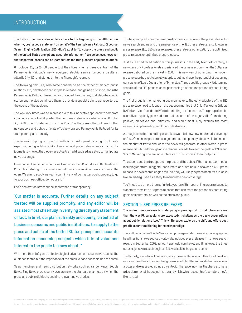# **INTRODUCTION**

**The birth of the press release dates back to the beginning of the 20th century when Ivy Lee issued a statement on behalf of the Pennsylvania Railroad. Of course, Search Engine Optimization (SEO) didn't exist to "to supply the press and public of the United States prompt and accurate information. " We do believe, however, that important lessons can be learned from the true pioneers of public relations.** 

On October 28, 1906, 50 people lost their lives when a three-car train of the Pennsylvania Railroad's newly equipped electric service jumped a trestle at Atlantic City, NJ, and plunged into the Thoroughfare creek.

The following day, Lee, who some consider to be the father of modern public relations (PR), developed the first press release, and gained his first client inThe Pennsylvania Railroad. Lee not only convinced the company to distribute a public statement, he also convinced them to provide a special train to get reporters to the scene of the accident.

The New York Times was so impressed with this innovative approach to corporate communications that it printed the first press release – verbatim – on October 30, 1906, titled "Statement from the Road. "In the weeks that followed, other newspapers and public officials effusively praised Pennsylvania Railroad for its transparency and honesty.

The following Spring, a group of anthracite coal operators sought out Lee's expertise during a labor strike. Lee's second press release was criticized by journalists who felt the piece was actually an ad disguised as a story to manipulate news coverage.

In response, Lee issued what is well known in the PR world as a "Declaration of Principles," stating, "This is not a secret press bureau. All our work is done in the open. We aim to supply news. If you think any of our matter ought properly to go to your business office, do not use it. "

Lee's declaration stressed the importance of transparency.

 **"Our matter is accurate. Further details on any subject treated will be supplied promptly, and any editor will be assisted most cheerfully in verifying directly any statement of fact. In brief, our plan is, frankly and openly, on behalf of business concerns and public institutions, to supply to the press and public of the United States prompt and accurate information concerning subjects which it is of value and interest to the public to know about. "**

With more than 100 years of technological advancements, our news reaches the audience faster, but the importance of the press release has remained the same.

Search engines and news distribution networks such as Yahoo! News, Google News, Bing News or Ask. com News are now the standard channels by which the press and public distribute and find relevant news stories.

This has prompted a new generation of pioneers to re-invent the press release for news search engine and the emergence of the SEO press release, also known as press release SEO, SEO press releases, press release optimization, the optimized press release, or optimized press releases.

Just as Lee had faced criticism from journalists in the early twentieth century, a new class of PR professionals experienced the same reaction when the SEO press release debuted on the market in 2003. This new way of optimizing the modern press release has yet to be fully adopted, but may have the potential of becoming our version of Lee's Declaration of Principles. Three specific groups will determine the fate of the SEO press release, possessing distinct and potentially conflicting goals.

The first group is the marketing decision makers. The early adopters of the SEO press release need to focus on the success metrics that Chief Marketing Officers (CMOs) and Vice Presidents (VPs) of Marketing are focused on. This group of senior executives typically plan and direct all aspects of an organization's marketing policies, objectives and initiatives, and would most likely express the most interest in implementing an SEO and PR strategy.

Although some top marketing executives want to know how much media coverage or "buzz" an online press release generates, their primary objective is to find out the amount of traffic and leads the news will generate. In other words, a press release distributed through online channels needs to meet the goals of CMOs and VPs of Marketing who are more interested in "outcomes" than "outputs. "

The second and third groups are the press and the public. If the mainstream media, includingreporters, bloggers, consumers or customers, discover an SEO press release in news search engine results, they will likely express hostility if it looks like an ad disguised as a story to manipulate news coverage.

You'll need to do more than sprinkle keywords within your online press releases to transform them into SEO press releases that can meet the potentially conflicting goals of marketers, as well as the press and public.

# **SECTION 1: SEO PRESS RELEASES**

**The online press release is undergoing a paradigm shift that changes more than the way PR campaigns are executed; it challenges the basic assumptions about public relations itself. This white paper explores the shift and offers best practices for transitioning to the new paradigm.** 

The shift began when Google News, a computer-generated news site that aggregates headlines from news sources worldwide, included press releases in its news search results in September 2002. Yahoo! News, Ask. com News, and Bing News, the three other major news search engines, followed suit in the years to come.

Traditionally, a reader will prefer a specific news outlet over another for all breaking news and headlines. The search engine works a little differently and identifies several articles and releases regarding a given topic. The reader now has the chance to make a decision on what the subject matter and which. which accounts of each story they'd like to read.

GlobeNewswire, a NASDAQ OMX company, is one of the world's largest newswire distribution networks, specializing in the delivery of corporate press releases, financial disclosures and multimedia content to the media, invest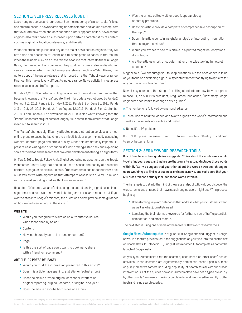# **SECTION 1: SEO PRESS RELEASES (CONT. )**

Search engines select and rank content on the frequency of a given topic. Articles and press releases in news search engines are selected and ranked by computers that evaluate how often and on what sites a story appears online. News search engines also rank those articles based upon certain characteristics of content such as originality, location, relevance, and diversity.

When the press and public use any of the major news search engines, they will often find the headlines of recent and relevant press releases in the results. When these users click on a press release headline that interests them in Google News, Bing News, or Ask. com News, they go directly press release distribution service. However, when they click on a press release headline in Yahoo! News, they go to a copy of the press release that is hosted on either Yahoo! News or Yahoo! Finance. This makes it very difficult to include Yahoo! News activity in most press release access and traffic reports.

On Feb. 23, 2011, Google began rolling out a series of major algorithm changes that became known as the "Panda" update. The initial update was followed by Panda 2. 0 on April 11, 2011, Panda 2. 1 on May 9, 2011, Panda 2. 2 on June 21, 2011, Panda 2. 3 on July 23, 2011, Panda 2. 4 on August 12,2011, Panda 2. 5 on September 28, 2011 and Panda 3. 1 on November 18, 2011. It is also worth knowing that the "Panda" updates were just some of roughly 500 search improvements that Google rolled out to search in 2011.

The "Panda" changes significantly affected many distribution services and most online press releases by tackling the difficult task of algorithmically assessing website, content, page and article quality. Since this dramatically impacts SEO press release writing and distribution, it's worth taking a step back and explaining some of the ideas and research that drove the development of Google's algorithms.

On May 6, 2011, Google Fellow Amit Singhal posted some questions on the Google Webmaster Central Blog that one could use to assess the quality of a website, content, a page, or an article. He said, "These are the kinds of questions we ask ourselves as we write algorithms that attempt to assess site quality. Think of it as our take at encoding what we think our users want. "

He added, "Of course, we aren't disclosing the actual ranking signals used in our algorithms because we don't want folks to game our search results; but if you want to step into Google's mindset, the questions below provide some guidance on how we've been looking at the issue. "

#### **Website**

- Would you recognize this site as an authoritative source when mentioned by name?
- Content
- How much quality control is done on content?
- § Page
- Is this the sort of page you'd want to bookmark, share with a friend, or recommend?

#### **Article (or press release)**

- Would you trust the information presented in this article?
- Does this article have spelling, stylistic, or factual errors?
- Does the article provide original content or information, original reporting, original research, or original analysis?
- Does the article describe both sides of a story?
- Was the article edited well, or does it appear sloppy or hastily produced?
- Does this article provide a complete or comprehensive description of the topic?
- Does this article contain insightful analysis or interesting information that is beyond obvious?
- Would you expect to see this article in a printed magazine, encyclopedia or book?
- Are the articles short, unsubstantial, or otherwise lacking in helpful specifics?

Singhal said, "We encourage you to keep questions like the ones above in mind as you focus on developing high-quality content rather than trying to optimize for any particular Google algorithm. "

Now, it may seem odd that Google is setting standards for how to write a press release. Or, as SEO-PR's president, Greg Jarboe, has asked, "How many Google engineers does it take to change a style guide?"

- A. The number one followed by one hundred zeros.
- B. Three. One to hold the ladder, and two to organize the world's information and make it universally accessible and useful.
- C. None. It's a PR problem.

But, SEO press releases need to follow Google's "Quality Guidelines" to enjoy better ranking.

# **SECTION 2: SEO KEYWORD RESEARCH TOOLS**

**One of Google's content guidelines suggests: "Think about the words users would type to find your pages, and make sure that your site actually includes those words within it. "So, we suggest that you think about the words news search engine users would type to find your business or financial news, and make sure that your SEO press release actually includes those words within it.** 

The first step is to get into the mind of the press and public. How do you discover the words, terms and phrases that news search engine users might use? This process begins by:

- Brainstorming keyword categories that address what your customers want as well as what journalists need.
- Compiling the brainstormed keywords for further review of traffic potential, competition, and other factors.

The next step is using one or more of these free SEO keyword research tools:

**Google News Autocomplete:** In August 2009, Google enabled Suggest in Google News. The feature provides real-time suggestions as you type into the search box on Google News. In October 2010, Suggest was renamed Autocomplete as part of the launch of Google Instant.

As you type, Autocomplete returns search queries based on other users' search activities. These searches are algorithmically determined based upon a number of purely objective factors (including popularity of search terms) without human intervention. All of the queries shown in Autocomplete have been typed previously by other Google News users. The Autocomplete dataset is updated frequently to offer fresh and rising search queries.

GlobeNewswire, a NASDAQ OMX company, is one of the world's largest newswire distribution networks, specializing in the delivery of corporate press releases, financial disclosures and multimedia content to the media, invest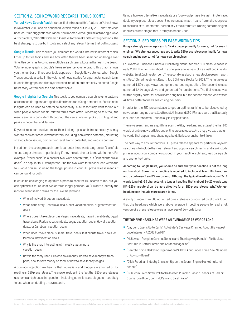# **SECTION 2: SEO KEYWORD RESEARCH TOOLS (CONT.)**

**Yahoo! News Search Assist:** Yahoo! first introduced this feature on Yahoo! News in November 2009 and an enhanced version rolled out in July 2010 that provided near real-time suggestions in Yahoo! News Search. Although similar to Google News Autocomplete, Yahoo! News Search Assist will often make different suggestions. The best strategy is to use both tools and select any relevant terms that both suggest.

**Google Trends:** This tool lets you compare the world's interest in different topics. Enter up to five topics and see how often they've been searched on Google over time. Use commas to compare multiple search terms. Located beneath the Search Volume Index graph is Google's News reference volume graph. This graph shows you the number of times your topic appeared in Google News stories. When Google Trends detects a spike in the volume of news stories for a particular search term, it labels the graph and displays the headline of an automatically selected Google News story written near the time of that spike.

**Google Insights for Search:** This tool lets you compare search volume patterns across specific regions, categories, time frames and Google properties. For example, Insights can be used to determine seasonality. A ski resort may want to find out when people search for ski-related terms most often. According to this tool, the results are fairly consistent throughout the years: interest picks up in August and peaks in December and January.

Keyword research involves more than looking up search frequencies; you may want to consider other relevant factors, including: conversion potential, marketing strategy, legal issues, competition level, traffic potential, and website content.

In addition, the average search term is currently three words long, so don't be afraid to use longer phrases -- particularly if they include shorter terms within them. For example, "travel deals" is a popular two-word search term, but "last minute travel deals" is a popular four-word phrase. And the two-word term is included within the four-word phrase, so using the longer phrase in your SEO press release means it can be found for both.

It would be challenging to optimize a press release for 100 search terms, but you can optimize it for at least two or three longer phrases. You'll want to identify the most relevant search terms for the Five Ws (and one H).

- Who is involved: Groupon travel deals
- What is the story: Best travel deals, best vacation deals, or great vacation deals
- Where does it take place: Las Vegas travel deals, Hawaii travel deals, Egypt travel deals, Florida vacation deals, Vegas vacation deals, Hawaii vacation deals, or Caribbean vacation deals
- § When does it take place: Summer travel deals, last minute travel deals, or Memorial Day vacation deals
- Why is the story interesting: All inclusive last minute vacation deals
- How is the story useful: How to save money, how to save money with coupons, how to save money on food, or how to save money on gas

A common objection we hear is that journalists and bloggers are turned off by reading an SEO press release. The answer resides in the fact that SEO press releases use terms and phrases that people -- including journalists and bloggers -- are likely to use when conducting a news search.

Using a two-word term like travel deals or a four-word phrase like last minute travel deals in your press release doesn't look unusual. In fact, it can often make your press release easier to understand, particularly if the alternative is using some neologism or newly coined slogan that is rarely searched upon.

# **SECTION 3: SEO PRESS RELEASE WRITING TIPS**

**Google strongly encourages you to "Make pages primarily for users, not for search engines. "We strongly encourage you to write SEO press releases primarily for news search engine users, not for news search engines.** 

For example, Business Financial Publishing distributed two SEO press releases in early 2008. The first was about the one year anniversary of its small cap investor website, SmallCapInvestor. com. The second was about a new stock research report entitled, "China Investment Report: Top 5 Chinese Stocks for 2008. "The first release garnered 1,594 page views and generated one registration. The second release garnered 1,414 page views and generated 44 registrations. The first release was written slightly better for news search engines, but the second release was written 44 times better for news search engine users.

In order for the SEO press release to get an optimal ranking to be discovered by news search engine users, Southwest Airlines and SEO-PR made sure that it actually included search terms – especially in key positions.

The news search engine algorithms scan the title, headline, and at least the first 100 words of online news articles and online press releases. And they give extra weight to words that appear in subheadings, bold, italics, or anchor text links.

The best way to ensure that your SEO press release appears for particular keyword searches is to include the most relevant and popular search terms, and also include phrases about your company or product in your headline, subhead, lead paragraph, and anchor text links.

**According to Google News, you should be sure that your headline is not too long nor too short. Currently, a headline is required to include at least 10 characters and be between 2 and 22 words long. Although the typical headline is about 7-10 words long (42-60 characters), a longer headline that's about 14-20 words long (84-120 characters) can be more effective for an SEO press release. Why? A longer headline can include more search terms.** 

A study of more than 500 optimized press releases conducted by SEO-PR found that the headlines which were above average in getting people to read a full version of a press release were an average of 14 words long.

### **THE TOP FIVE HEADLINES WERE AN AVERAGE OF 16 WORDS LONG:**

- "Jay Leno Opens Up to CarTV, AutoBytel's Car News Channel, About His Newest Love Interest - A 2005 Ford GT"
- "Halloween Pumpkin Carving Stencils and Thanksgiving Pumpkin Pie Recipes Featured in Better Homes and Gardens Magazine"
- "Search Engine Marketing Organization (SEMPO) Announces Three New Members of Advisory Board"
- "Click Fraud, an Industry Crisis, or Blip on the Search Engine Marketing Landscape?"
- "BHG. com Holds Straw Poll for Halloween Pumpkin Carving Stencils of Barack Obama, Joe Biden, John McCain and Sarah Palin"

GlobeNewswire, a NASDAQ OMX company, is one of the world's largest newswire distribution networks, specializing in the delivery of corporate press releases, financial disclosures and multimedia content to the media, invest